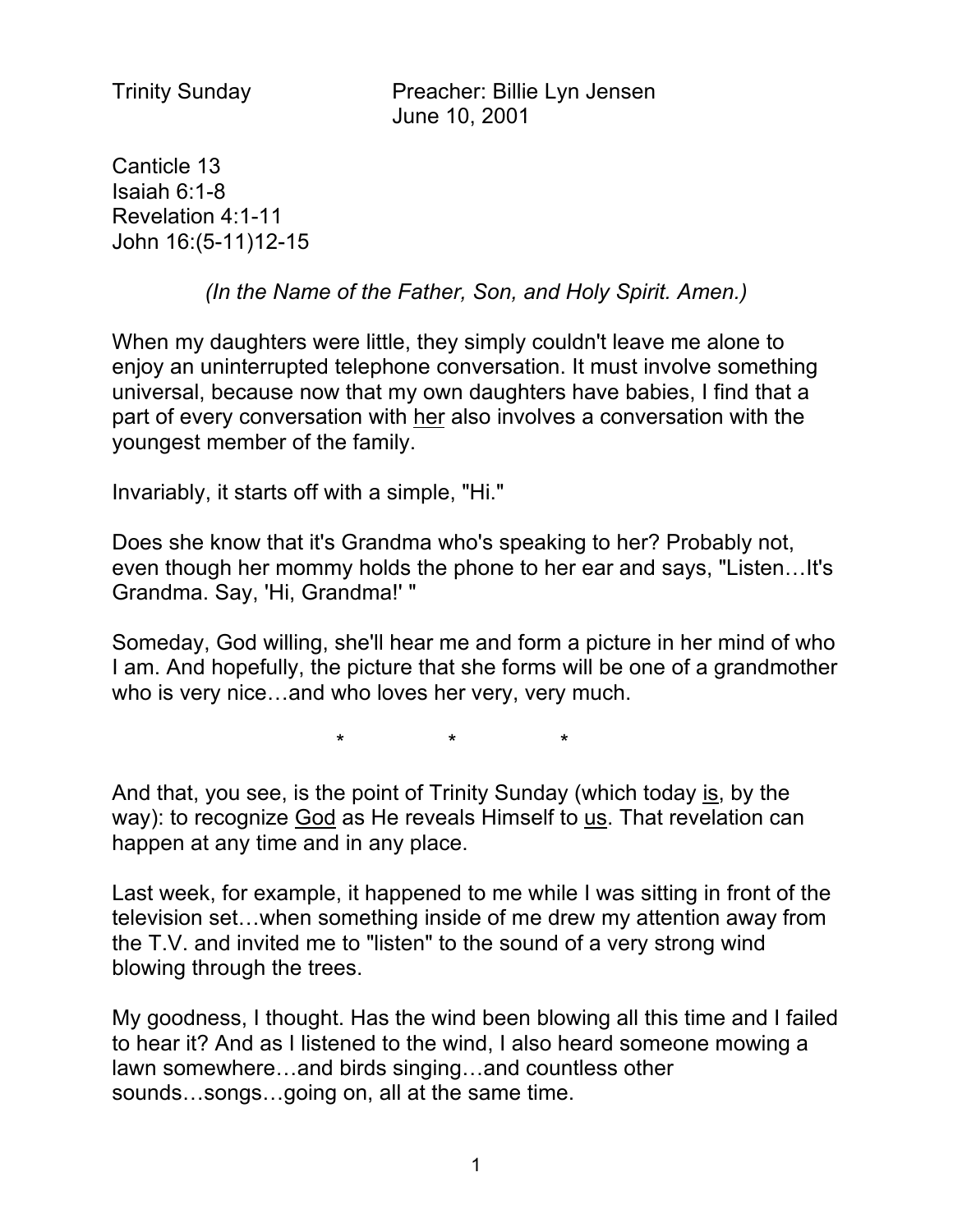Trinity Sunday Preacher: Billie Lyn Jensen June 10, 2001

Canticle 13 Isaiah 6:1-8 Revelation 4:1-11 John 16:(5-11)12-15

*(In the Name of the Father, Son, and Holy Spirit. Amen.)*

When my daughters were little, they simply couldn't leave me alone to enjoy an uninterrupted telephone conversation. It must involve something universal, because now that my own daughters have babies, I find that a part of every conversation with her also involves a conversation with the youngest member of the family.

Invariably, it starts off with a simple, "Hi."

Does she know that it's Grandma who's speaking to her? Probably not, even though her mommy holds the phone to her ear and says, "Listen…It's Grandma. Say, 'Hi, Grandma!' "

Someday, God willing, she'll hear me and form a picture in her mind of who I am. And hopefully, the picture that she forms will be one of a grandmother who is very nice…and who loves her very, very much.

\* \* \*

And that, you see, is the point of Trinity Sunday (which today is, by the way): to recognize God as He reveals Himself to us. That revelation can happen at any time and in any place.

Last week, for example, it happened to me while I was sitting in front of the television set…when something inside of me drew my attention away from the T.V. and invited me to "listen" to the sound of a very strong wind blowing through the trees.

My goodness, I thought. Has the wind been blowing all this time and I failed to hear it? And as I listened to the wind, I also heard someone mowing a lawn somewhere…and birds singing…and countless other sounds…songs…going on, all at the same time.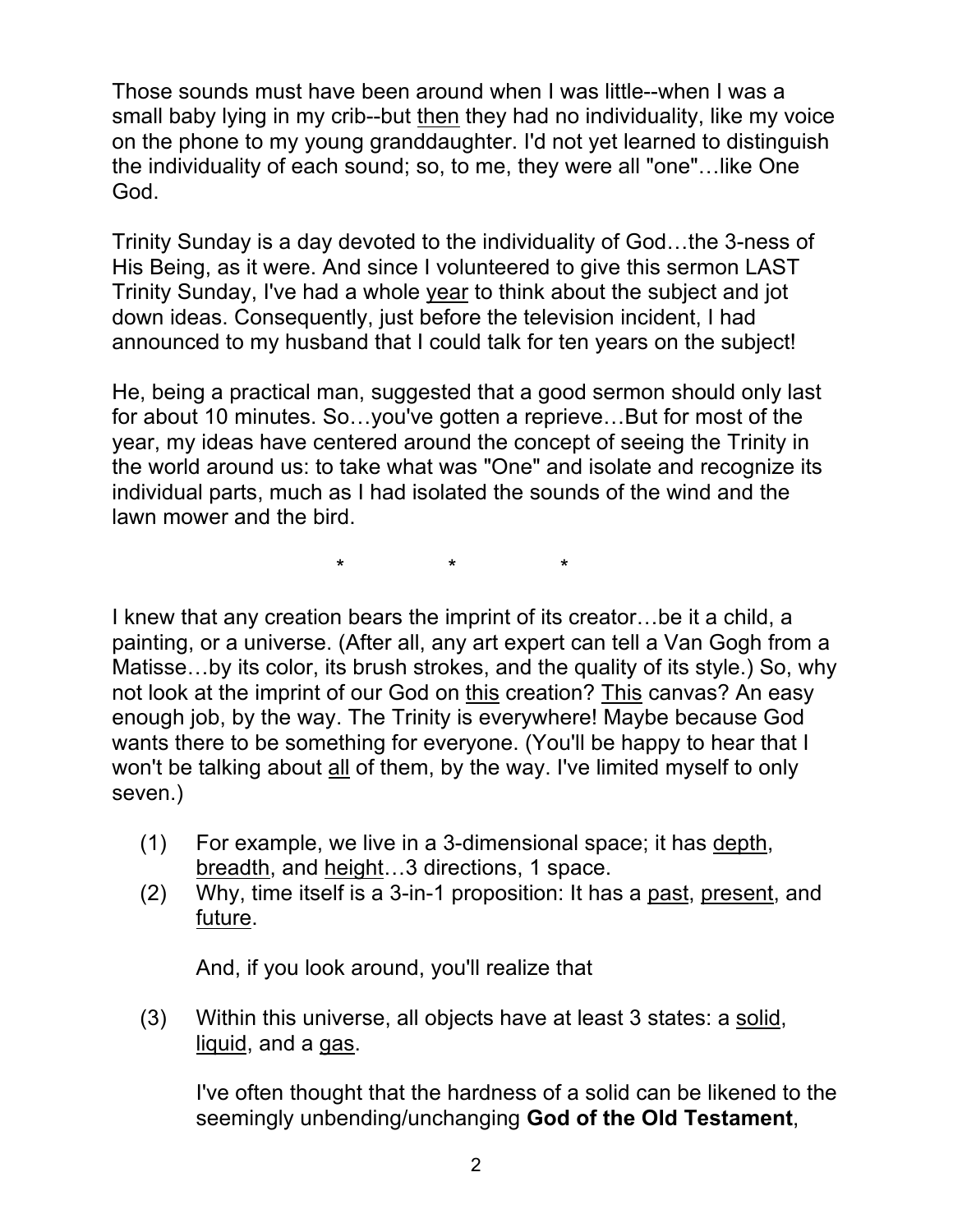Those sounds must have been around when I was little--when I was a small baby lying in my crib--but then they had no individuality, like my voice on the phone to my young granddaughter. I'd not yet learned to distinguish the individuality of each sound; so, to me, they were all "one"…like One God.

Trinity Sunday is a day devoted to the individuality of God…the 3-ness of His Being, as it were. And since I volunteered to give this sermon LAST Trinity Sunday, I've had a whole year to think about the subject and jot down ideas. Consequently, just before the television incident, I had announced to my husband that I could talk for ten years on the subject!

He, being a practical man, suggested that a good sermon should only last for about 10 minutes. So…you've gotten a reprieve…But for most of the year, my ideas have centered around the concept of seeing the Trinity in the world around us: to take what was "One" and isolate and recognize its individual parts, much as I had isolated the sounds of the wind and the lawn mower and the bird.

\* \* \*

I knew that any creation bears the imprint of its creator…be it a child, a painting, or a universe. (After all, any art expert can tell a Van Gogh from a Matisse…by its color, its brush strokes, and the quality of its style.) So, why not look at the imprint of our God on this creation? This canvas? An easy enough job, by the way. The Trinity is everywhere! Maybe because God wants there to be something for everyone. (You'll be happy to hear that I won't be talking about all of them, by the way. I've limited myself to only seven.)

- (1) For example, we live in a 3-dimensional space; it has depth, breadth, and height…3 directions, 1 space.
- (2) Why, time itself is a 3-in-1 proposition: It has a past, present, and future.

And, if you look around, you'll realize that

(3) Within this universe, all objects have at least 3 states: a solid, liquid, and a gas.

I've often thought that the hardness of a solid can be likened to the seemingly unbending/unchanging **God of the Old Testament**,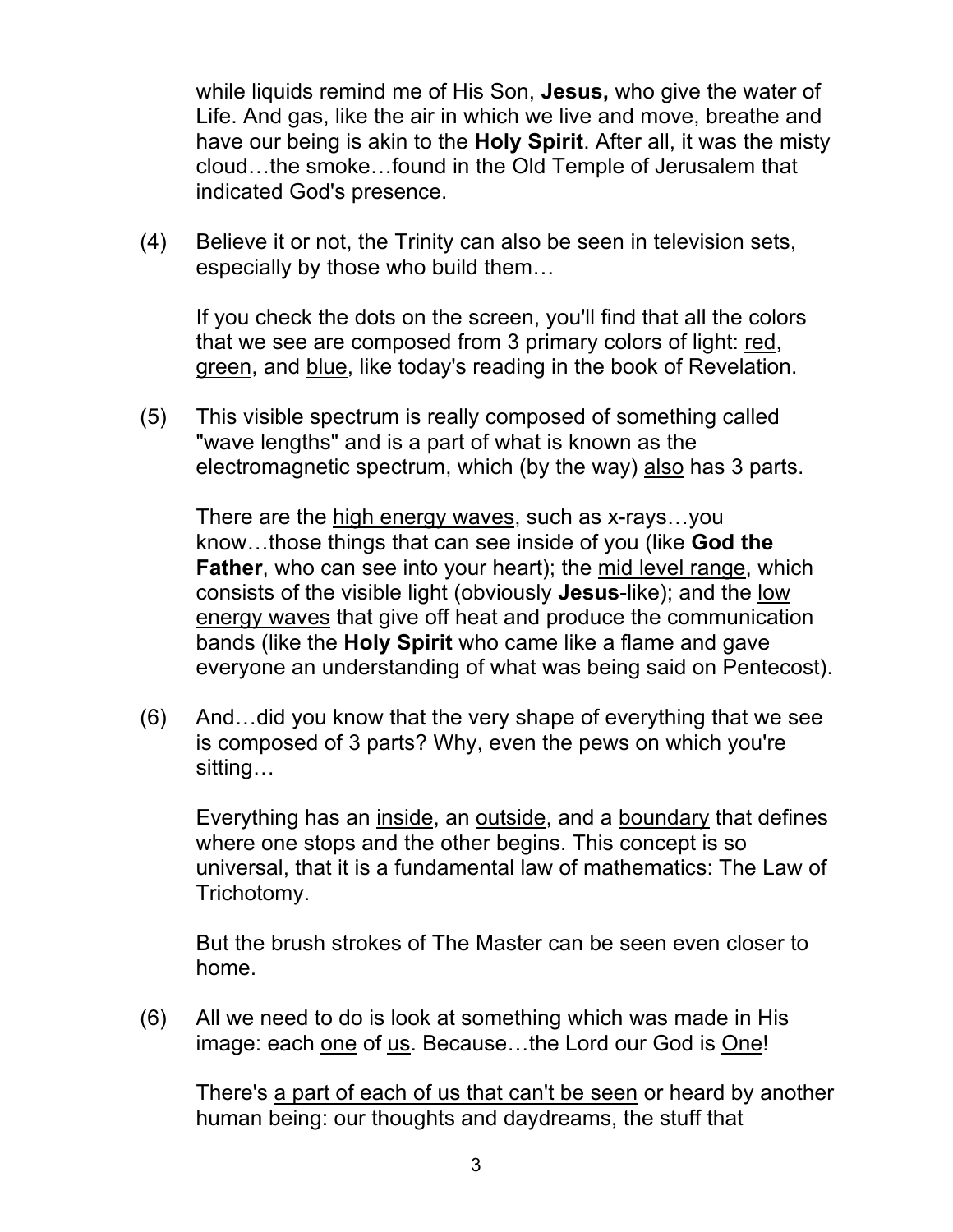while liquids remind me of His Son, **Jesus,** who give the water of Life. And gas, like the air in which we live and move, breathe and have our being is akin to the **Holy Spirit**. After all, it was the misty cloud…the smoke…found in the Old Temple of Jerusalem that indicated God's presence.

(4) Believe it or not, the Trinity can also be seen in television sets, especially by those who build them…

If you check the dots on the screen, you'll find that all the colors that we see are composed from 3 primary colors of light: red, green, and blue, like today's reading in the book of Revelation.

(5) This visible spectrum is really composed of something called "wave lengths" and is a part of what is known as the electromagnetic spectrum, which (by the way) also has 3 parts.

There are the high energy waves, such as x-rays...you know…those things that can see inside of you (like **God the Father**, who can see into your heart); the mid level range, which consists of the visible light (obviously **Jesus**-like); and the low energy waves that give off heat and produce the communication bands (like the **Holy Spirit** who came like a flame and gave everyone an understanding of what was being said on Pentecost).

(6) And…did you know that the very shape of everything that we see is composed of 3 parts? Why, even the pews on which you're sitting…

Everything has an inside, an outside, and a boundary that defines where one stops and the other begins. This concept is so universal, that it is a fundamental law of mathematics: The Law of Trichotomy.

But the brush strokes of The Master can be seen even closer to home.

(6) All we need to do is look at something which was made in His image: each one of us. Because…the Lord our God is One!

There's a part of each of us that can't be seen or heard by another human being: our thoughts and daydreams, the stuff that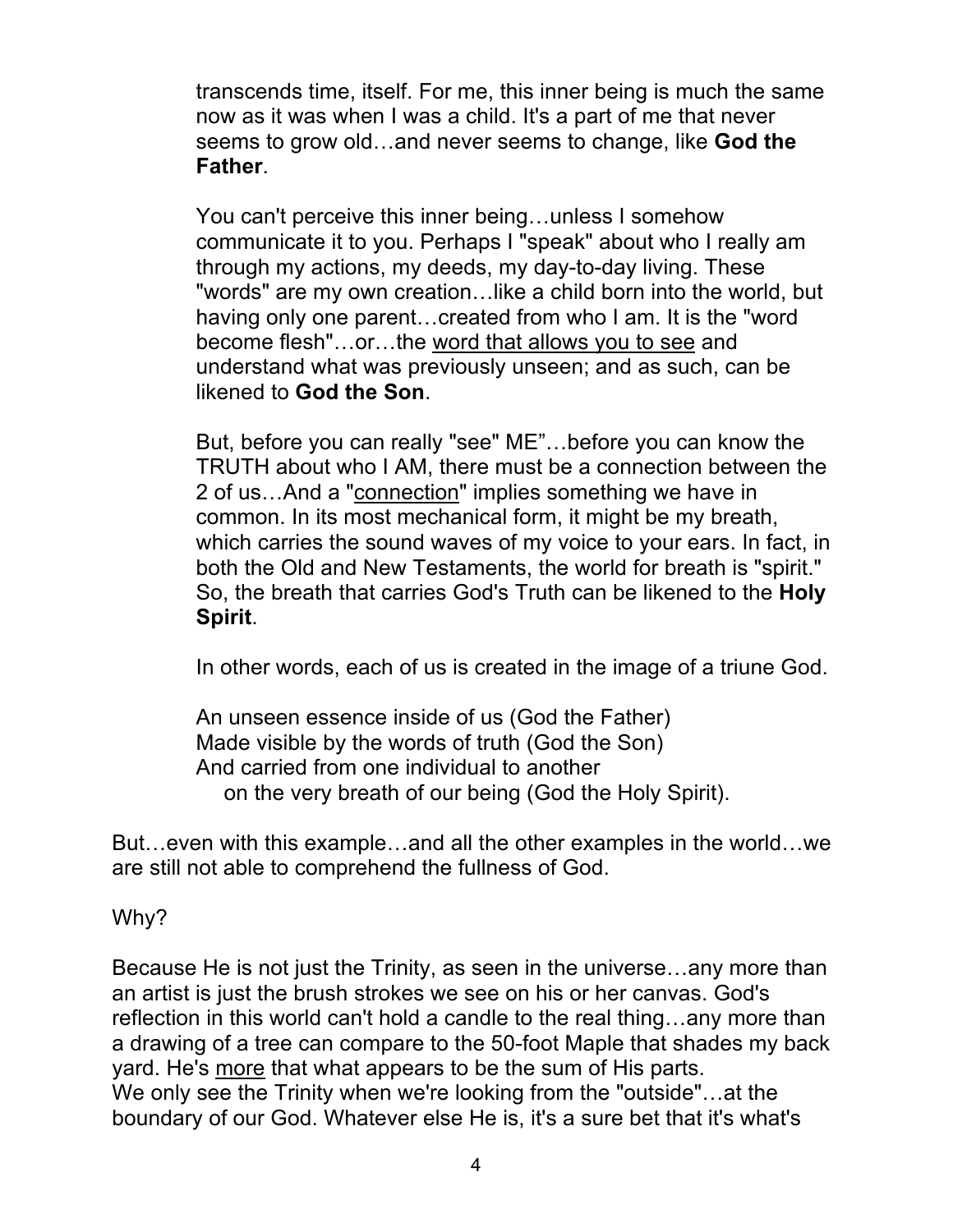transcends time, itself. For me, this inner being is much the same now as it was when I was a child. It's a part of me that never seems to grow old…and never seems to change, like **God the Father**.

You can't perceive this inner being…unless I somehow communicate it to you. Perhaps I "speak" about who I really am through my actions, my deeds, my day-to-day living. These "words" are my own creation…like a child born into the world, but having only one parent…created from who I am. It is the "word become flesh"…or…the word that allows you to see and understand what was previously unseen; and as such, can be likened to **God the Son**.

But, before you can really "see" ME"…before you can know the TRUTH about who I AM, there must be a connection between the 2 of us…And a "connection" implies something we have in common. In its most mechanical form, it might be my breath, which carries the sound waves of my voice to your ears. In fact, in both the Old and New Testaments, the world for breath is "spirit." So, the breath that carries God's Truth can be likened to the **Holy Spirit**.

In other words, each of us is created in the image of a triune God.

An unseen essence inside of us (God the Father) Made visible by the words of truth (God the Son) And carried from one individual to another on the very breath of our being (God the Holy Spirit).

But…even with this example…and all the other examples in the world…we are still not able to comprehend the fullness of God.

Why?

Because He is not just the Trinity, as seen in the universe…any more than an artist is just the brush strokes we see on his or her canvas. God's reflection in this world can't hold a candle to the real thing…any more than a drawing of a tree can compare to the 50-foot Maple that shades my back yard. He's more that what appears to be the sum of His parts. We only see the Trinity when we're looking from the "outside"…at the boundary of our God. Whatever else He is, it's a sure bet that it's what's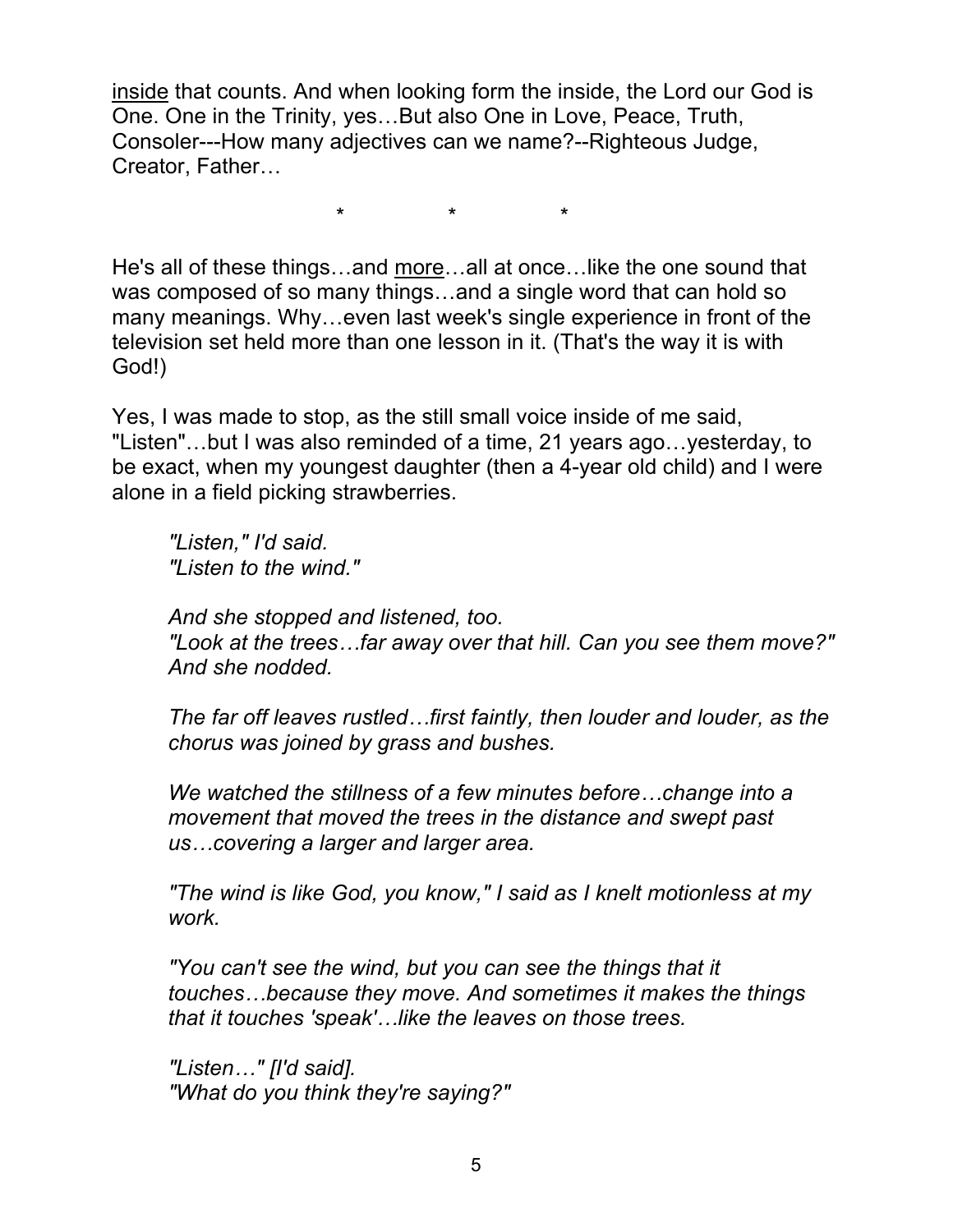inside that counts. And when looking form the inside, the Lord our God is One. One in the Trinity, yes…But also One in Love, Peace, Truth, Consoler---How many adjectives can we name?--Righteous Judge, Creator, Father…

\* \* \*

He's all of these things…and more…all at once…like the one sound that was composed of so many things…and a single word that can hold so many meanings. Why…even last week's single experience in front of the television set held more than one lesson in it. (That's the way it is with God!)

Yes, I was made to stop, as the still small voice inside of me said, "Listen"…but I was also reminded of a time, 21 years ago…yesterday, to be exact, when my youngest daughter (then a 4-year old child) and I were alone in a field picking strawberries.

*"Listen," I'd said. "Listen to the wind."*

*And she stopped and listened, too. "Look at the trees…far away over that hill. Can you see them move?" And she nodded.*

*The far off leaves rustled…first faintly, then louder and louder, as the chorus was joined by grass and bushes.*

*We watched the stillness of a few minutes before…change into a movement that moved the trees in the distance and swept past us…covering a larger and larger area.*

*"The wind is like God, you know," I said as I knelt motionless at my work.*

*"You can't see the wind, but you can see the things that it touches…because they move. And sometimes it makes the things that it touches 'speak'…like the leaves on those trees.*

*"Listen…" [I'd said]. "What do you think they're saying?"*